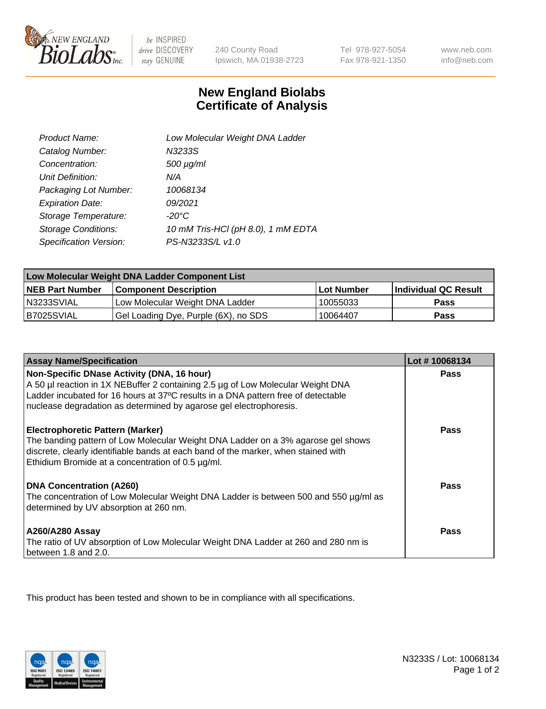

 $be$  INSPIRED drive DISCOVERY stay GENUINE

240 County Road Ipswich, MA 01938-2723 Tel 978-927-5054 Fax 978-921-1350

www.neb.com info@neb.com

## **New England Biolabs Certificate of Analysis**

| Product Name:              | Low Molecular Weight DNA Ladder    |
|----------------------------|------------------------------------|
| Catalog Number:            | N3233S                             |
| Concentration:             | 500 µg/ml                          |
| Unit Definition:           | N/A                                |
| Packaging Lot Number:      | 10068134                           |
| <b>Expiration Date:</b>    | 09/2021                            |
| Storage Temperature:       | $-20^{\circ}$ C                    |
| <b>Storage Conditions:</b> | 10 mM Tris-HCl (pH 8.0), 1 mM EDTA |
| Specification Version:     | PS-N3233S/L v1.0                   |

| Low Molecular Weight DNA Ladder Component List |                                      |                   |                      |  |
|------------------------------------------------|--------------------------------------|-------------------|----------------------|--|
| <b>NEB Part Number</b>                         | <b>Component Description</b>         | <b>Lot Number</b> | Individual QC Result |  |
| N3233SVIAL                                     | Low Molecular Weight DNA Ladder      | 10055033          | Pass                 |  |
| B7025SVIAL                                     | Gel Loading Dye, Purple (6X), no SDS | 10064407          | <b>Pass</b>          |  |

| <b>Assay Name/Specification</b>                                                                                                                                                                                                                                        | Lot #10068134 |
|------------------------------------------------------------------------------------------------------------------------------------------------------------------------------------------------------------------------------------------------------------------------|---------------|
| Non-Specific DNase Activity (DNA, 16 hour)<br>A 50 µl reaction in 1X NEBuffer 2 containing 2.5 µg of Low Molecular Weight DNA                                                                                                                                          | <b>Pass</b>   |
| Ladder incubated for 16 hours at 37°C results in a DNA pattern free of detectable<br>nuclease degradation as determined by agarose gel electrophoresis.                                                                                                                |               |
| <b>Electrophoretic Pattern (Marker)</b><br>The banding pattern of Low Molecular Weight DNA Ladder on a 3% agarose gel shows<br>discrete, clearly identifiable bands at each band of the marker, when stained with<br>Ethidium Bromide at a concentration of 0.5 µg/ml. | Pass          |
| <b>DNA Concentration (A260)</b><br>The concentration of Low Molecular Weight DNA Ladder is between 500 and 550 µg/ml as<br>determined by UV absorption at 260 nm.                                                                                                      | Pass          |
| <b>A260/A280 Assay</b><br>The ratio of UV absorption of Low Molecular Weight DNA Ladder at 260 and 280 nm is<br>between 1.8 and 2.0.                                                                                                                                   | Pass          |

This product has been tested and shown to be in compliance with all specifications.